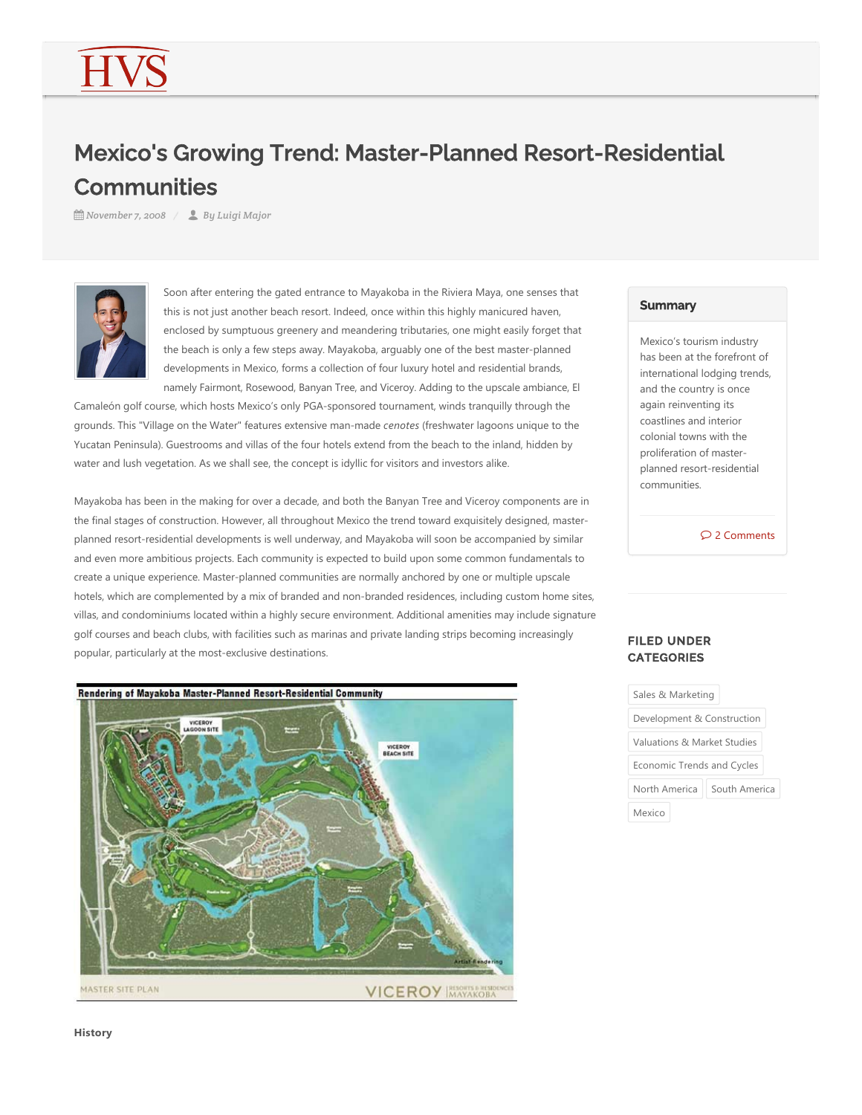# Mexico's Growing Trend: Master-Planned Resort-Residential **Communities**

**饂 November 7, 2008 ⁄ By Luigi Major** 



Soon after entering the gated entrance to Mayakoba in the Riviera Maya, one senses that this is not just another beach resort. Indeed, once within this highly manicured haven, enclosed by sumptuous greenery and meandering tributaries, one might easily forget that the beach is only a few steps away. Mayakoba, arguably one of the best master‐planned developments in Mexico, forms a collection of four luxury hotel and residential brands, namely Fairmont, Rosewood, Banyan Tree, and Viceroy. Adding to the upscale ambiance, El

Camaleón golf course, which hosts Mexico's only PGA‐sponsored tournament, winds tranquilly through the grounds. This "Village on the Water" features extensive man-made *cenotes* (freshwater lagoons unique to the Yucatan Peninsula). Guestrooms and villas of the four hotels extend from the beach to the inland, hidden by water and lush vegetation. As we shall see, the concept is idyllic for visitors and investors alike.

Mayakoba has been in the making for over a decade, and both the Banyan Tree and Viceroy components are in the final stages of construction. However, all throughout Mexico the trend toward exquisitely designed, masterplanned resort‐residential developments is well underway, and Mayakoba will soon be accompanied by similar and even more ambitious projects. Each community is expected to build upon some common fundamentals to create a unique experience. Master‐planned communities are normally anchored by one or multiple upscale hotels, which are complemented by a mix of branded and non-branded residences, including custom home sites, villas, and condominiums located within a highly secure environment. Additional amenities may include signature golf courses and beach clubs, with facilities such as marinas and private landing strips becoming increasingly popular, particularly at the most‐exclusive destinations.



## **Summary**

Mexico's tourism industry has been at the forefront of international lodging trends, and the country is once again reinventing its coastlines and interior colonial towns with the proliferation of master‐ planned resort‐residential communities.

2 Comments

## FILED UNDER **CATEGORIES**

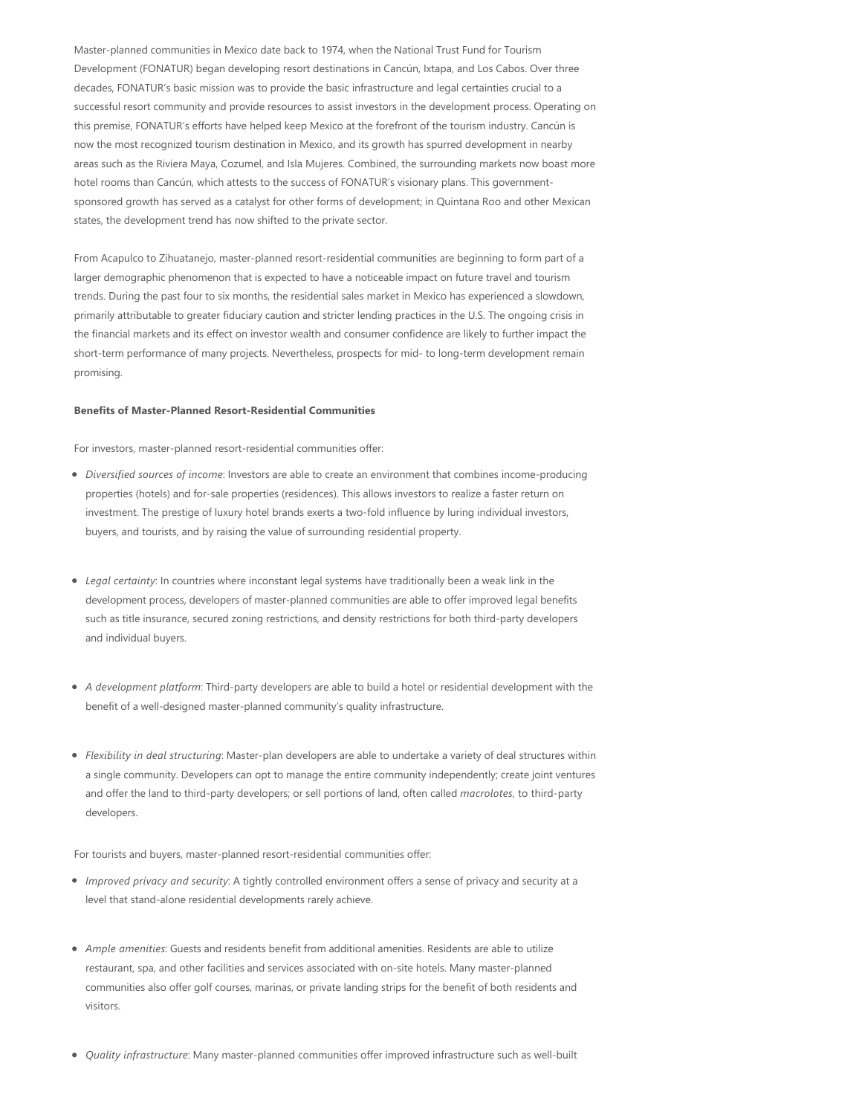Master‐planned communities in Mexico date back to 1974, when the National Trust Fund for Tourism Development (FONATUR) began developing resort destinations in Cancún, Ixtapa, and Los Cabos. Over three decades, FONATUR's basic mission was to provide the basic infrastructure and legal certainties crucial to a successful resort community and provide resources to assist investors in the development process. Operating on this premise, FONATUR's efforts have helped keep Mexico at the forefront of the tourism industry. Cancún is now the most recognized tourism destination in Mexico, and its growth has spurred development in nearby areas such as the Riviera Maya, Cozumel, and Isla Mujeres. Combined, the surrounding markets now boast more hotel rooms than Cancún, which attests to the success of FONATUR's visionary plans. This governmentsponsored growth has served as a catalyst for other forms of development; in Quintana Roo and other Mexican states, the development trend has now shifted to the private sector.

From Acapulco to Zihuatanejo, master‐planned resort‐residential communities are beginning to form part of a larger demographic phenomenon that is expected to have a noticeable impact on future travel and tourism trends. During the past four to six months, the residential sales market in Mexico has experienced a slowdown, primarily attributable to greater fiduciary caution and stricter lending practices in the U.S. The ongoing crisis in the financial markets and its effect on investor wealth and consumer confidence are likely to further impact the short-term performance of many projects. Nevertheless, prospects for mid- to long-term development remain promising.

### **Benefits of Master‐Planned Resort‐Residential Communities**

For investors, master‐planned resort‐residential communities offer:

- *Diversified sources of income*: Investors are able to create an environment that combines income‐producing properties (hotels) and for-sale properties (residences). This allows investors to realize a faster return on investment. The prestige of luxury hotel brands exerts a two-fold influence by luring individual investors, buyers, and tourists, and by raising the value of surrounding residential property.
- *Legal certainty*: In countries where inconstant legal systems have traditionally been a weak link in the development process, developers of master‐planned communities are able to offer improved legal benefits such as title insurance, secured zoning restrictions, and density restrictions for both third‐party developers and individual buyers.
- *A development platform*: Third‐party developers are able to build a hotel or residential development with the benefit of a well-designed master-planned community's quality infrastructure.
- *Flexibility in deal structuring*: Master‐plan developers are able to undertake a variety of deal structures within a single community. Developers can opt to manage the entire community independently; create joint ventures and offer the land to third‐party developers; or sell portions of land, often called *macrolotes*, to third‐party developers.

For tourists and buyers, master‐planned resort‐residential communities offer:

- *Improved privacy and security*: A tightly controlled environment offers a sense of privacy and security at a level that stand‐alone residential developments rarely achieve.
- *Ample amenities*: Guests and residents benefit from additional amenities. Residents are able to utilize restaurant, spa, and other facilities and services associated with on‐site hotels. Many master‐planned communities also offer golf courses, marinas, or private landing strips for the benefit of both residents and visitors.
- *Quality infrastructure*: Many master-planned communities offer improved infrastructure such as well-built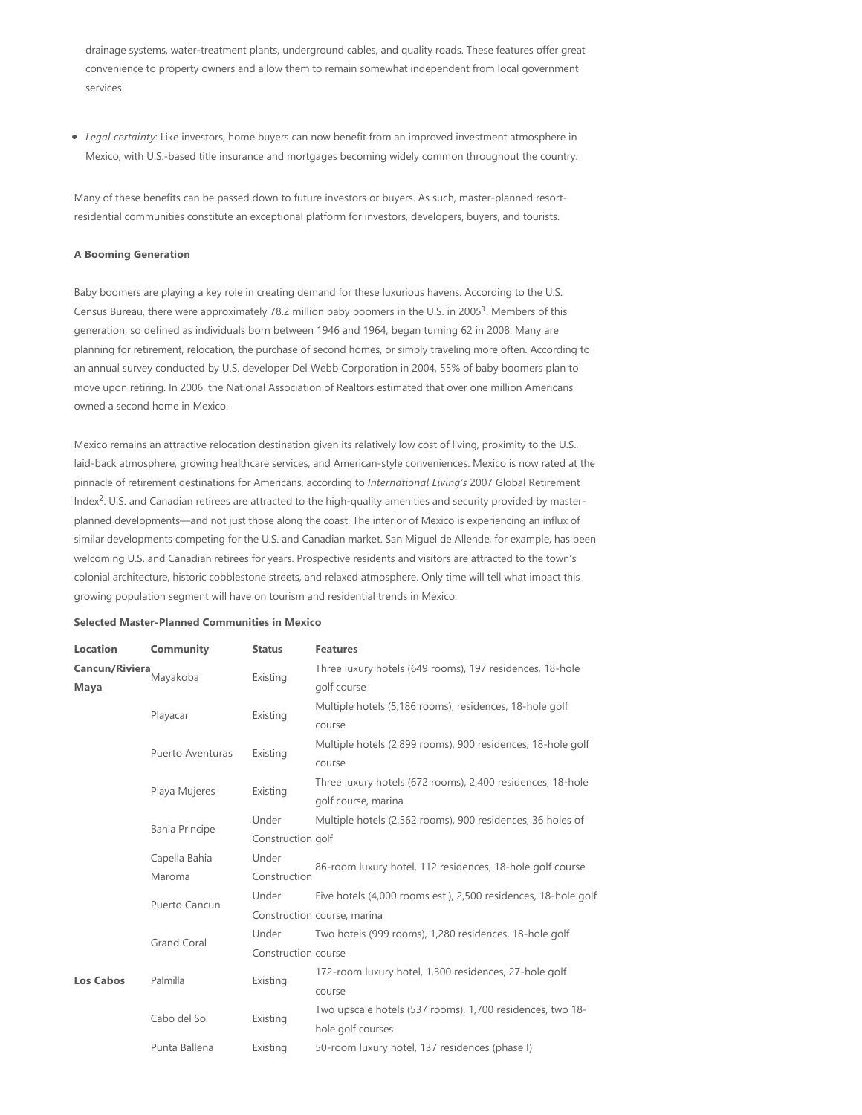drainage systems, water‐treatment plants, underground cables, and quality roads. These features offer great convenience to property owners and allow them to remain somewhat independent from local government services.

*Legal certainty*: Like investors, home buyers can now benefit from an improved investment atmosphere in Mexico, with U.S.‐based title insurance and mortgages becoming widely common throughout the country.

Many of these benefits can be passed down to future investors or buyers. As such, master-planned resortresidential communities constitute an exceptional platform for investors, developers, buyers, and tourists.

#### **A Booming Generation**

Baby boomers are playing a key role in creating demand for these luxurious havens. According to the U.S. Census Bureau, there were approximately 78.2 million baby boomers in the U.S. in 2005<sup>1</sup>. Members of this generation, so defined as individuals born between 1946 and 1964, began turning 62 in 2008. Many are planning for retirement, relocation, the purchase of second homes, or simply traveling more often. According to an annual survey conducted by U.S. developer Del Webb Corporation in 2004, 55% of baby boomers plan to move upon retiring. In 2006, the National Association of Realtors estimated that over one million Americans owned a second home in Mexico.

Mexico remains an attractive relocation destination given its relatively low cost of living, proximity to the U.S., laid‐back atmosphere, growing healthcare services, and American‐style conveniences. Mexico is now rated at the pinnacle of retirement destinations for Americans, according to *International Living's* 2007 Global Retirement Index<sup>2</sup>. U.S. and Canadian retirees are attracted to the high-quality amenities and security provided by masterplanned developments—and not just those along the coast. The interior of Mexico is experiencing an influx of similar developments competing for the U.S. and Canadian market. San Miguel de Allende, for example, has been welcoming U.S. and Canadian retirees for years. Prospective residents and visitors are attracted to the town's colonial architecture, historic cobblestone streets, and relaxed atmosphere. Only time will tell what impact this growing population segment will have on tourism and residential trends in Mexico.

#### **Selected Master‐Planned Communities in Mexico**

| Location         | Community             | <b>Status</b>       | <b>Features</b>                                                |
|------------------|-----------------------|---------------------|----------------------------------------------------------------|
| Cancun/Riviera   | Mayakoba              | Existing            | Three luxury hotels (649 rooms), 197 residences, 18-hole       |
| Maya             |                       |                     | golf course                                                    |
|                  | Playacar              | Existing            | Multiple hotels (5,186 rooms), residences, 18-hole golf        |
|                  |                       |                     | course                                                         |
|                  | Puerto Aventuras      | Existing            | Multiple hotels (2,899 rooms), 900 residences, 18-hole golf    |
|                  |                       |                     | course                                                         |
|                  | Playa Mujeres         | Existing            | Three luxury hotels (672 rooms), 2,400 residences, 18-hole     |
|                  |                       |                     | golf course, marina                                            |
|                  | <b>Bahia Principe</b> | Under               | Multiple hotels (2,562 rooms), 900 residences, 36 holes of     |
|                  |                       | Construction golf   |                                                                |
|                  | Capella Bahia         | Under               |                                                                |
|                  | Maroma                | Construction        | 86-room luxury hotel, 112 residences, 18-hole golf course      |
|                  | Puerto Cancun         | Under               | Five hotels (4,000 rooms est.), 2,500 residences, 18-hole golf |
|                  |                       |                     | Construction course, marina                                    |
|                  | <b>Grand Coral</b>    | Under               | Two hotels (999 rooms), 1,280 residences, 18-hole golf         |
|                  |                       | Construction course |                                                                |
| <b>Los Cabos</b> | Palmilla              | Existing            | 172-room luxury hotel, 1,300 residences, 27-hole golf          |
|                  |                       |                     | course                                                         |
|                  | Cabo del Sol          | Existing            | Two upscale hotels (537 rooms), 1,700 residences, two 18-      |
|                  |                       |                     | hole golf courses                                              |
|                  | Punta Ballena         | Existing            | 50-room luxury hotel, 137 residences (phase I)                 |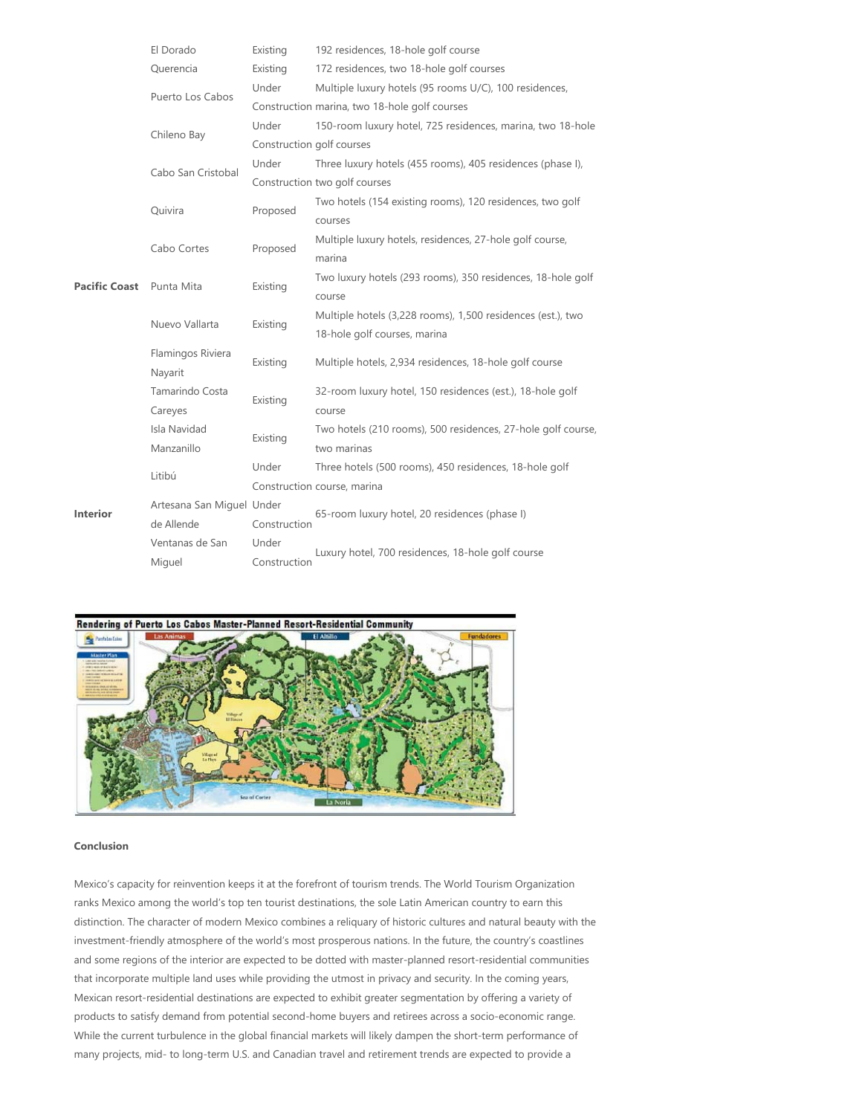|                          | El Dorado                 | Existing                                      | 192 residences, 18-hole golf course                          |  |
|--------------------------|---------------------------|-----------------------------------------------|--------------------------------------------------------------|--|
|                          | Querencia                 | Existing                                      | 172 residences, two 18-hole golf courses                     |  |
|                          | Puerto Los Cabos          | Under                                         | Multiple luxury hotels (95 rooms U/C), 100 residences,       |  |
|                          |                           | Construction marina, two 18-hole golf courses |                                                              |  |
| Pacific Coast Punta Mita | Chileno Bay               | Under                                         | 150-room luxury hotel, 725 residences, marina, two 18-hole   |  |
|                          |                           | Construction golf courses                     |                                                              |  |
|                          | Cabo San Cristobal        | Under                                         | Three luxury hotels (455 rooms), 405 residences (phase I),   |  |
|                          |                           |                                               | Construction two golf courses                                |  |
|                          | Quivira                   | Proposed                                      | Two hotels (154 existing rooms), 120 residences, two golf    |  |
|                          |                           |                                               | courses                                                      |  |
|                          | Cabo Cortes               | Proposed                                      | Multiple luxury hotels, residences, 27-hole golf course,     |  |
|                          |                           |                                               | marina                                                       |  |
|                          |                           | Existing                                      | Two luxury hotels (293 rooms), 350 residences, 18-hole golf  |  |
|                          |                           |                                               | course                                                       |  |
|                          | Nuevo Vallarta            | Existing                                      | Multiple hotels (3,228 rooms), 1,500 residences (est.), two  |  |
|                          |                           |                                               | 18-hole golf courses, marina                                 |  |
|                          | Flamingos Riviera         | Existing                                      | Multiple hotels, 2,934 residences, 18-hole golf course       |  |
|                          | Nayarit                   |                                               |                                                              |  |
| <b>Interior</b>          | Tamarindo Costa           | Existing                                      | 32-room luxury hotel, 150 residences (est.), 18-hole golf    |  |
|                          | Careyes                   |                                               | course                                                       |  |
|                          | Isla Navidad              | Existing                                      | Two hotels (210 rooms), 500 residences, 27-hole golf course, |  |
|                          | Manzanillo                |                                               | two marinas                                                  |  |
|                          | Litibú                    | Under                                         | Three hotels (500 rooms), 450 residences, 18-hole golf       |  |
|                          |                           |                                               | Construction course, marina                                  |  |
|                          | Artesana San Miguel Under |                                               | 65-room luxury hotel, 20 residences (phase I)                |  |
|                          | de Allende                | Construction                                  |                                                              |  |
|                          | Ventanas de San           | Under                                         | Luxury hotel, 700 residences, 18-hole golf course            |  |
|                          | Miguel                    | Construction                                  |                                                              |  |



#### **Conclusion**

Mexico's capacity for reinvention keeps it at the forefront of tourism trends. The World Tourism Organization ranks Mexico among the world's top ten tourist destinations, the sole Latin American country to earn this distinction. The character of modern Mexico combines a reliquary of historic cultures and natural beauty with the investment‐friendly atmosphere of the world's most prosperous nations. In the future, the country's coastlines and some regions of the interior are expected to be dotted with master‐planned resort‐residential communities that incorporate multiple land uses while providing the utmost in privacy and security. In the coming years, Mexican resort‐residential destinations are expected to exhibit greater segmentation by offering a variety of products to satisfy demand from potential second‐home buyers and retirees across a socio‐economic range. While the current turbulence in the global financial markets will likely dampen the short-term performance of many projects, mid‐ to long‐term U.S. and Canadian travel and retirement trends are expected to provide a